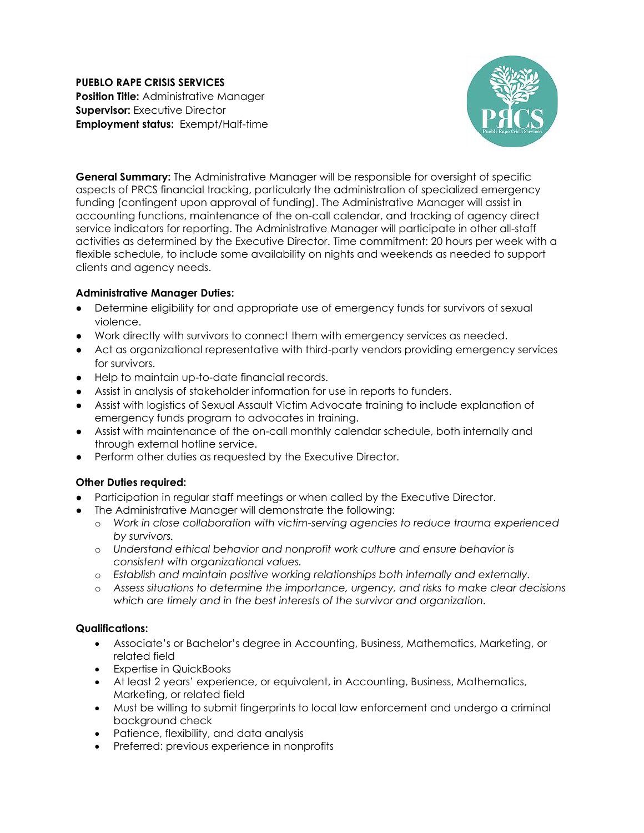**PUEBLO RAPE CRISIS SERVICES Position Title:** Administrative Manager **Supervisor: Executive Director Employment status:** Exempt/Half-time



**General Summary:** The Administrative Manager will be responsible for oversight of specific aspects of PRCS financial tracking, particularly the administration of specialized emergency funding (contingent upon approval of funding). The Administrative Manager will assist in accounting functions, maintenance of the on-call calendar, and tracking of agency direct service indicators for reporting. The Administrative Manager will participate in other all-staff activities as determined by the Executive Director. Time commitment: 20 hours per week with a flexible schedule, to include some availability on nights and weekends as needed to support clients and agency needs.

## **Administrative Manager Duties:**

- Determine eligibility for and appropriate use of emergency funds for survivors of sexual violence.
- Work directly with survivors to connect them with emergency services as needed.
- Act as organizational representative with third-party vendors providing emergency services for survivors.
- Help to maintain up-to-date financial records.
- Assist in analysis of stakeholder information for use in reports to funders.
- Assist with logistics of Sexual Assault Victim Advocate training to include explanation of emergency funds program to advocates in training.
- Assist with maintenance of the on-call monthly calendar schedule, both internally and through external hotline service.
- Perform other duties as requested by the Executive Director.

# **Other Duties required:**

- Participation in regular staff meetings or when called by the Executive Director.
- The Administrative Manager will demonstrate the following:
	- o *Work in close collaboration with victim-serving agencies to reduce trauma experienced by survivors.*
	- o *Understand ethical behavior and nonprofit work culture and ensure behavior is consistent with organizational values.*
	- o *Establish and maintain positive working relationships both internally and externally.*
	- o *Assess situations to determine the importance, urgency, and risks to make clear decisions which are timely and in the best interests of the survivor and organization.*

### **Qualifications:**

- Associate's or Bachelor's degree in Accounting, Business, Mathematics, Marketing, or related field
- Expertise in QuickBooks
- At least 2 years' experience, or equivalent, in Accounting, Business, Mathematics, Marketing, or related field
- Must be willing to submit fingerprints to local law enforcement and undergo a criminal background check
- Patience, flexibility, and data analysis
- Preferred: previous experience in nonprofits